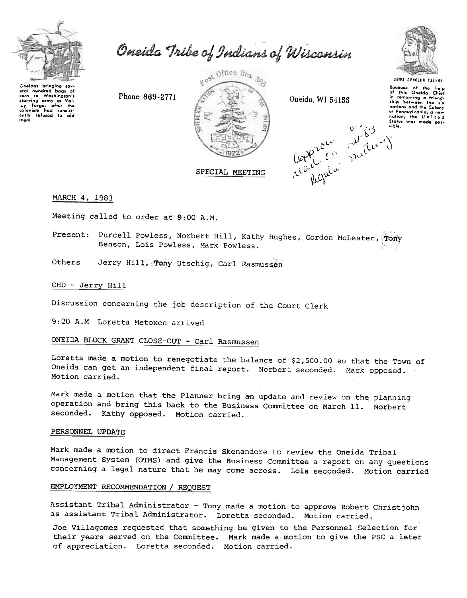

 $\frac{1}{100}$ 

them.

Oneida Tribe of Indians of Wisconsin

aral hundred bons of to Washington's corn to washington's<br>starving army at Val-<br>ley forge, after the<br>colonists had consist-<br>ently refused to aid

Phone: 869-2771



Oneida, WI 54155



**UGWA DENOLUN YATENE** Because of the help<br>of this Oneida Chief in comenting a friendnations and the Colony of Pennsylvania, a new<br>nation, the United<br>States was made pos-Comprete suchass sible.

SPECIAL MEETING

MARCH 4, 1983

Meeting called to order at 9:00 A.M.

Purcell Powless, Norbert Hill, Kathy Hughes, Gordon McLester, Tony Present: Benson, Lois Powless, Mark Powless.

Others Jerry Hill, Tony Utschig, Carl Rasmussen

CHD - Jerry Hill

Discussion concerning the job description of the Court Clerk

9:20 A.M Loretta Metoxen arrived

ONEIDA BLOCK GRANT CLOSE-OUT - Carl Rasmussen

Loretta made a motion to renegotiate the balance of \$2,500.00 so that the Town of Oneida can get an independent final report. Norbert seconded. Mark opposed. Motion carried.

Mark made a motion that the Planner bring an update and review on the planning operation and bring this back to the Business Committee on March 11. Norbert seconded. Kathy opposed. Motion carried.

#### PERSONNEL UPDATE

Mark made a motion to direct Francis Skenandore to review the Oneida Tribal Management System (OTMS) and give the Business Committee a report on any questions concerning a legal nature that he may come across. Lois seconded. Motion carried

## EMPLOYMENT RECOMMENDATION / REQUEST

Assistant Tribal Administrator - Tony made a motion to approve Robert Christjohn as assistant Tribal Administrator. Loretta seconded. Motion carried.

Joe Villagomez requested that something be given to the Personnel Selection for their years served on the Committee. Mark made a motion to give the PSC a leter of appreciation. Loretta seconded. Motion carried.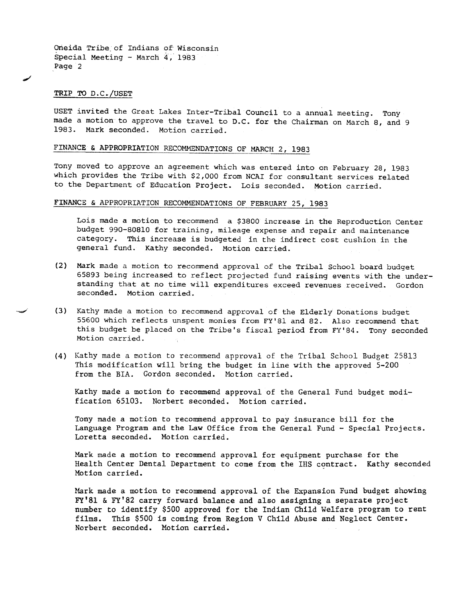Oneida Tribe of Indians of Wisconsin Special Meeting - March  $4$ , 1983 Page 2

#### TRIP TO D.C./USET

..,.I

USET invited the Great Lakes Inter-Tribal Council to a annual meeting. Tony made a motion to approve the travel to D.C. for the Chairman on March 8, and 9 1983. Mark seconded. Motion carried.

# FINANCE & APPROPRIATION RECOMMENDATIONS OF MARCH 2, 1983

Tony moved to approve an agreement which was entered into on February 28,1983 which provides the Tribe with \$2,000 from NCAI for consultant services related to the Department of Education Project. Lois seconded. Motion carried.

# FINANCE & APPROPRIATION RECOMMENDATIONS OF FEBRUARY 25, 1983

Lois made a motion to recommend a \$3800 increase in the Reproduction Center budget 990-80810 for training, mileage expense and repair and maintenance category. This increase is budgeted in the indirect cost cushion in the general fund. Kathy seconded. Motion carried.

- (2) Mark made a motion to recommend approval of the Tribal School board budget 65893 being increased to reflect projected fund raising events with the understanding that at no time will expenditures exceed revenues received. Gordon seconded. Motion carried.
- (3) Kathy made a motion to recommend approval of the Elderly Donations budget 55600 which reflects unspent monies from FY'81 and 82. Also recommend that this budget be placed on the Tribe's fiscal period from FY'84. Tony seconded Motion carried.
- (4) Kathy made a motion to recommend approval of the Tribal School Budget 25813 This modification will bring the budget in line with the approved 5-200 from the BIA. Gordon seconded. Motion carried.

Kathy made a motion to recommend approval of the General Fund budget modification 65103. Norbert seconded. Motion carried.

Tony made a motion to recommend approval to pay insurance bill for the Language Program and the Law Office from the General Fund - Special Projects. Loretta seconded. Motion carried.

Mark made a motion to recommend approval for equipment purchase for the Health Center Dental Department to come from the IHS contract. Kathy seconded Motion carried.

Mark made a motion to recommend approval of the Expansion Fund budget showing FY'81 & FY'82 carry forward balance and also assigning a separate project number to identify \$500 approved for the Indian Child Welfare program to rent films. This \$500 is coming from Region V Child Abuse and Neglect Center. Norbert seconded. Motion carried.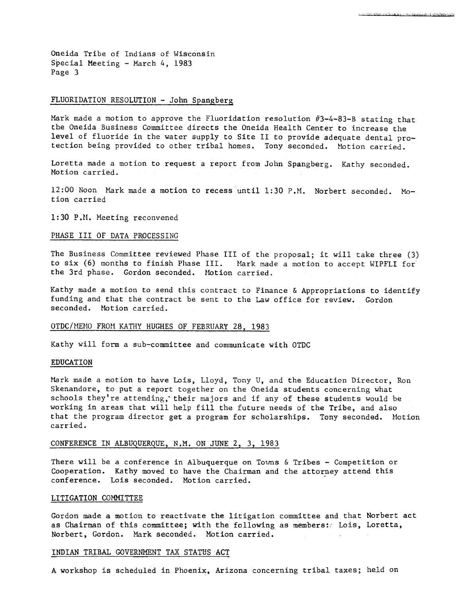Oneida Tribe of Indians of Wisconsin Special Meeting - March  $4$ , 1983 Page 3

#### FLUORIDATION RESOLUTION - John Spangberg

Mark made a motion to approve the Fluoridation resolution  $#3-4-83-8$  stating that the Oneida Business Committee directs the Oneida Health Center to increase the level of fluoride in the water supply to Site II to provide adequate dental protection being provided to other tribal homes. Tony seconded. Motion carried.

Loretta made a motion to request a report from John Spangberg. Kathy seconded Motion carried.

12:00 Noon Mark made a motion to recess until 1:30 P.M. Norbert seconded. Motion carried

### 1:30 P.M. Meeting reconvened

### PHASE III OF DATA PROCESSING

The Business Committee reviewed Phase III of the proposal; it will take three (3) to six (6) months to finish Phase III. Mark made a motion to accept WIPFLI for the 3rd phase. Gordon seconded. Motion carried.

Kathy made a motion to send this contract to Finance & Appropriations to identify funding and that the contract be sent to the Law office for review. Gordon seconded. Motion carried.

#### OTDC/MEMO FROM KATHY HUGHES OF FEBRUARY 28, 1983

Kathy will form a sub-committee and communicate with OTDC

#### EDUCATION

Mark made a motion to have Lois, Lloyd, Tony U, and the Education Director, Ron Skenandore, to put a repqrt together on the Oneida students concerning what schools they're attending, their majors and if any of these students would be working in areas that will help fill the future needs of the Tribe, and also that the program director get a program for scholarships. Tony seconded. Motion carried.

#### CONFERENCE IN ALBUQUERQUE, N.M.ONJUNE2, 3; 1983

There will be a conference in Albuquerque on Towns & Tribes - Competition or Cooperation. Kathy moved to have the Chairman and the attorney attend this conference. Lois seconded. Motion carried.

#### LITIGATION COMMITTEE

Gordon made a motion to reactivate the litigation committee and that Norbert act as Chairman of this committee; with the following as members: Lois, Loretta, Norbert, Gordon. Mark seconded. Motion carried.

#### INDIAN TRIBAL GOVERNMENT TAX STATUS ACT

A workshop is scheduled in Phoenix. Arizona concerning tribal taxes; held on